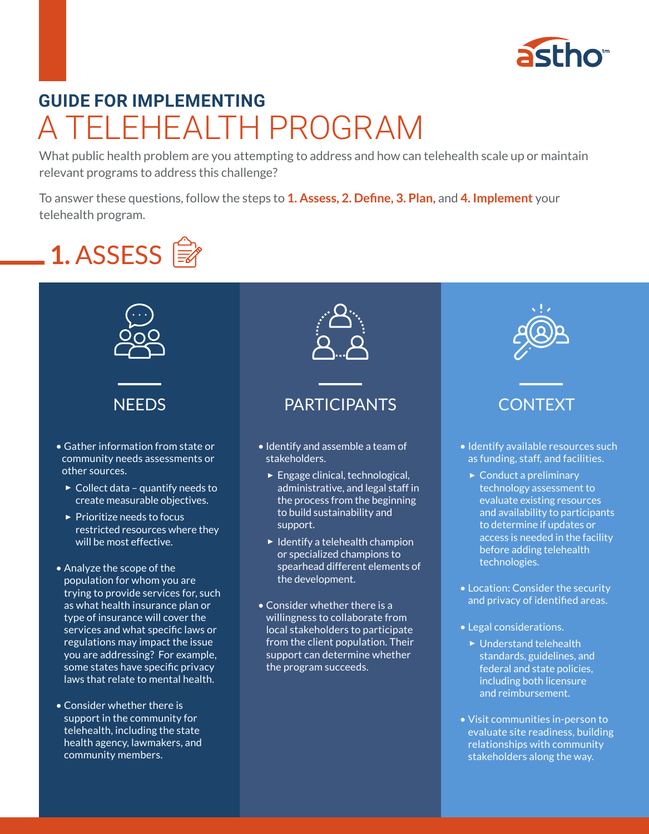

• Legal considerations.

▶ Understand telehealth standards, guidelines, and federal and state policies, including both licensure and reimbursement.

• Visit communities in-person to evaluate site readiness, building relationships with community stakeholders along the way.

# A TELEHEALTH PROGRAM **GUIDE FOR IMPLEMENTING**

What public health problem are you attempting to address and how can telehealth scale up or maintain relevant programs to address this challenge?

To answer these questions, follow the steps to **1. Assess, 2. Define, 3. Plan,** and **4. Implement** your telehealth program.



services and what specific laws or regulations may impact the issue you are addressing? For example, some states have specific privacy laws that relate to mental health.

• Consider whether there is support in the community for telehealth, including the state health agency, lawmakers, and

community members.



local stakeholders to participate from the client population. Their support can determine whether the program succeeds.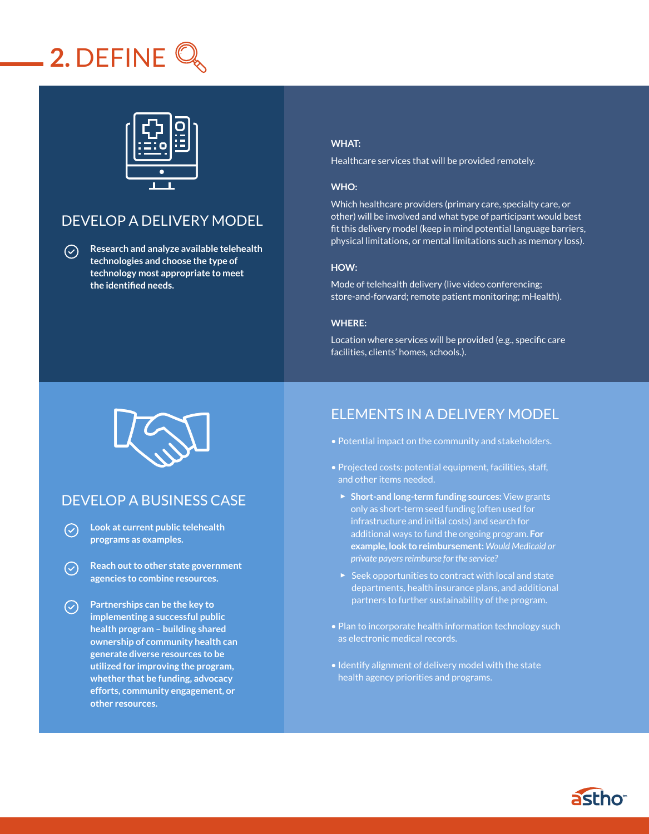# **2.** DEFINE



## DEVELOP A DELIVERY MODEL

**Research and analyze available telehealth**   $\odot$ **technologies and choose the type of technology most appropriate to meet the identified needs.** 

### **WHAT:**

Healthcare services that will be provided remotely.

#### **WHO:**

Which healthcare providers (primary care, specialty care, or other) will be involved and what type of participant would best fit this delivery model (keep in mind potential language barriers, physical limitations, or mental limitations such as memory loss).

#### **HOW:**

Mode of telehealth delivery (live video conferencing; store-and-forward; remote patient monitoring; mHealth).

#### **WHERE:**

Location where services will be provided (e.g., specific care facilities, clients' homes, schools.).



### DEVELOP A BUSINESS CASE

- **Look at current public telehealth**   $\bigcirc$ **programs as examples.**
- **Reach out to other state government**   $\mathcal{L}$ **agencies to combine resources.**
- **Partnerships can be the key to implementing a successful public health program – building shared ownership of community health can generate diverse resources to be utilized for improving the program, whether that be funding, advocacy efforts, community engagement, or other resources.**

### ELEMENTS IN A DELIVERY MODEL

- Potential impact on the community and stakeholders.
- Projected costs: potential equipment, facilities, staff, and other items needed.
	- ▶ **Short-and long-term funding sources:** View grants only as short-term seed funding (often used for infrastructure and initial costs) and search for additional ways to fund the ongoing program. **For example, look to reimbursement:** *Would Medicaid or private payers reimburse for the service?*
	- $\triangleright$  Seek opportunities to contract with local and state departments, health insurance plans, and additional partners to further sustainability of the program.
- Plan to incorporate health information technology such as electronic medical records.
- Identify alignment of delivery model with the state health agency priorities and programs.